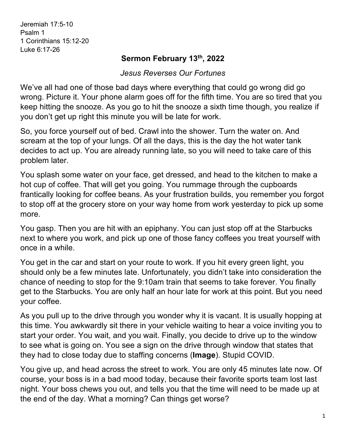Jeremiah 17:5-10 Psalm 1 1 Corinthians 15:12-20 Luke 6:17-26

## **Sermon February 13th, 2022**

*Jesus Reverses Our Fortunes*

We've all had one of those bad days where everything that could go wrong did go wrong. Picture it. Your phone alarm goes off for the fifth time. You are so tired that you keep hitting the snooze. As you go to hit the snooze a sixth time though, you realize if you don't get up right this minute you will be late for work.

So, you force yourself out of bed. Crawl into the shower. Turn the water on. And scream at the top of your lungs. Of all the days, this is the day the hot water tank decides to act up. You are already running late, so you will need to take care of this problem later.

You splash some water on your face, get dressed, and head to the kitchen to make a hot cup of coffee. That will get you going. You rummage through the cupboards frantically looking for coffee beans. As your frustration builds, you remember you forgot to stop off at the grocery store on your way home from work yesterday to pick up some more.

You gasp. Then you are hit with an epiphany. You can just stop off at the Starbucks next to where you work, and pick up one of those fancy coffees you treat yourself with once in a while.

You get in the car and start on your route to work. If you hit every green light, you should only be a few minutes late. Unfortunately, you didn't take into consideration the chance of needing to stop for the 9:10am train that seems to take forever. You finally get to the Starbucks. You are only half an hour late for work at this point. But you need your coffee.

As you pull up to the drive through you wonder why it is vacant. It is usually hopping at this time. You awkwardly sit there in your vehicle waiting to hear a voice inviting you to start your order. You wait, and you wait. Finally, you decide to drive up to the window to see what is going on. You see a sign on the drive through window that states that they had to close today due to staffing concerns (**Image**). Stupid COVID.

You give up, and head across the street to work. You are only 45 minutes late now. Of course, your boss is in a bad mood today, because their favorite sports team lost last night. Your boss chews you out, and tells you that the time will need to be made up at the end of the day. What a morning? Can things get worse?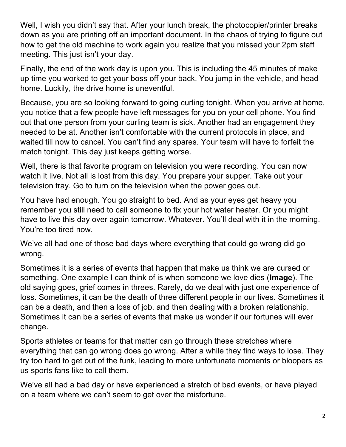Well, I wish you didn't say that. After your lunch break, the photocopier/printer breaks down as you are printing off an important document. In the chaos of trying to figure out how to get the old machine to work again you realize that you missed your 2pm staff meeting. This just isn't your day.

Finally, the end of the work day is upon you. This is including the 45 minutes of make up time you worked to get your boss off your back. You jump in the vehicle, and head home. Luckily, the drive home is uneventful.

Because, you are so looking forward to going curling tonight. When you arrive at home, you notice that a few people have left messages for you on your cell phone. You find out that one person from your curling team is sick. Another had an engagement they needed to be at. Another isn't comfortable with the current protocols in place, and waited till now to cancel. You can't find any spares. Your team will have to forfeit the match tonight. This day just keeps getting worse.

Well, there is that favorite program on television you were recording. You can now watch it live. Not all is lost from this day. You prepare your supper. Take out your television tray. Go to turn on the television when the power goes out.

You have had enough. You go straight to bed. And as your eyes get heavy you remember you still need to call someone to fix your hot water heater. Or you might have to live this day over again tomorrow. Whatever. You'll deal with it in the morning. You're too tired now.

We've all had one of those bad days where everything that could go wrong did go wrong.

Sometimes it is a series of events that happen that make us think we are cursed or something. One example I can think of is when someone we love dies (**Image**). The old saying goes, grief comes in threes. Rarely, do we deal with just one experience of loss. Sometimes, it can be the death of three different people in our lives. Sometimes it can be a death, and then a loss of job, and then dealing with a broken relationship. Sometimes it can be a series of events that make us wonder if our fortunes will ever change.

Sports athletes or teams for that matter can go through these stretches where everything that can go wrong does go wrong. After a while they find ways to lose. They try too hard to get out of the funk, leading to more unfortunate moments or bloopers as us sports fans like to call them.

We've all had a bad day or have experienced a stretch of bad events, or have played on a team where we can't seem to get over the misfortune.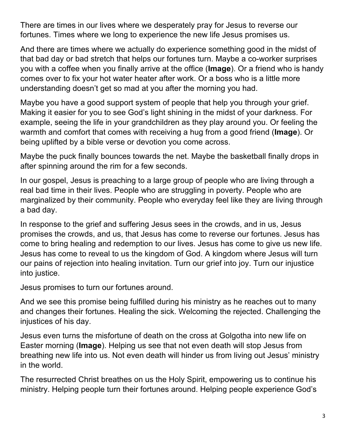There are times in our lives where we desperately pray for Jesus to reverse our fortunes. Times where we long to experience the new life Jesus promises us.

And there are times where we actually do experience something good in the midst of that bad day or bad stretch that helps our fortunes turn. Maybe a co-worker surprises you with a coffee when you finally arrive at the office (**Image**). Or a friend who is handy comes over to fix your hot water heater after work. Or a boss who is a little more understanding doesn't get so mad at you after the morning you had.

Maybe you have a good support system of people that help you through your grief. Making it easier for you to see God's light shining in the midst of your darkness. For example, seeing the life in your grandchildren as they play around you. Or feeling the warmth and comfort that comes with receiving a hug from a good friend (**Image**). Or being uplifted by a bible verse or devotion you come across.

Maybe the puck finally bounces towards the net. Maybe the basketball finally drops in after spinning around the rim for a few seconds.

In our gospel, Jesus is preaching to a large group of people who are living through a real bad time in their lives. People who are struggling in poverty. People who are marginalized by their community. People who everyday feel like they are living through a bad day.

In response to the grief and suffering Jesus sees in the crowds, and in us, Jesus promises the crowds, and us, that Jesus has come to reverse our fortunes. Jesus has come to bring healing and redemption to our lives. Jesus has come to give us new life. Jesus has come to reveal to us the kingdom of God. A kingdom where Jesus will turn our pains of rejection into healing invitation. Turn our grief into joy. Turn our injustice into justice.

Jesus promises to turn our fortunes around.

And we see this promise being fulfilled during his ministry as he reaches out to many and changes their fortunes. Healing the sick. Welcoming the rejected. Challenging the injustices of his day.

Jesus even turns the misfortune of death on the cross at Golgotha into new life on Easter morning (**Image**). Helping us see that not even death will stop Jesus from breathing new life into us. Not even death will hinder us from living out Jesus' ministry in the world.

The resurrected Christ breathes on us the Holy Spirit, empowering us to continue his ministry. Helping people turn their fortunes around. Helping people experience God's